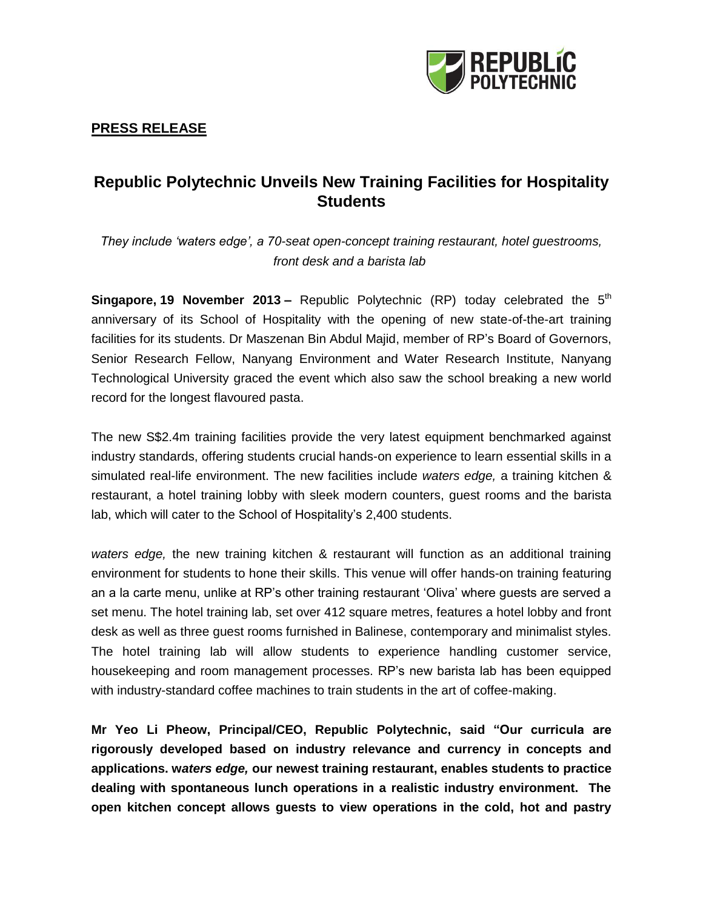

## **PRESS RELEASE**

# **Republic Polytechnic Unveils New Training Facilities for Hospitality Students**

*They include 'waters edge', a 70-seat open-concept training restaurant, hotel guestrooms, front desk and a barista lab*

**Singapore, 19 November 2013 –** Republic Polytechnic (RP) today celebrated the 5<sup>th</sup> anniversary of its School of Hospitality with the opening of new state-of-the-art training facilities for its students. Dr Maszenan Bin Abdul Majid, member of RP's Board of Governors, Senior Research Fellow, Nanyang Environment and Water Research Institute, Nanyang Technological University graced the event which also saw the school breaking a new world record for the longest flavoured pasta.

The new S\$2.4m training facilities provide the very latest equipment benchmarked against industry standards, offering students crucial hands-on experience to learn essential skills in a simulated real-life environment. The new facilities include *waters edge,* a training kitchen & restaurant, a hotel training lobby with sleek modern counters, guest rooms and the barista lab, which will cater to the School of Hospitality's 2,400 students.

*waters edge,* the new training kitchen & restaurant will function as an additional training environment for students to hone their skills. This venue will offer hands-on training featuring an a la carte menu, unlike at RP's other training restaurant 'Oliva' where guests are served a set menu. The hotel training lab, set over 412 square metres, features a hotel lobby and front desk as well as three guest rooms furnished in Balinese, contemporary and minimalist styles. The hotel training lab will allow students to experience handling customer service, housekeeping and room management processes. RP's new barista lab has been equipped with industry-standard coffee machines to train students in the art of coffee-making.

**Mr Yeo Li Pheow, Principal/CEO, Republic Polytechnic, said "Our curricula are rigorously developed based on industry relevance and currency in concepts and applications. w***aters edge,* **our newest training restaurant, enables students to practice dealing with spontaneous lunch operations in a realistic industry environment. The open kitchen concept allows guests to view operations in the cold, hot and pastry**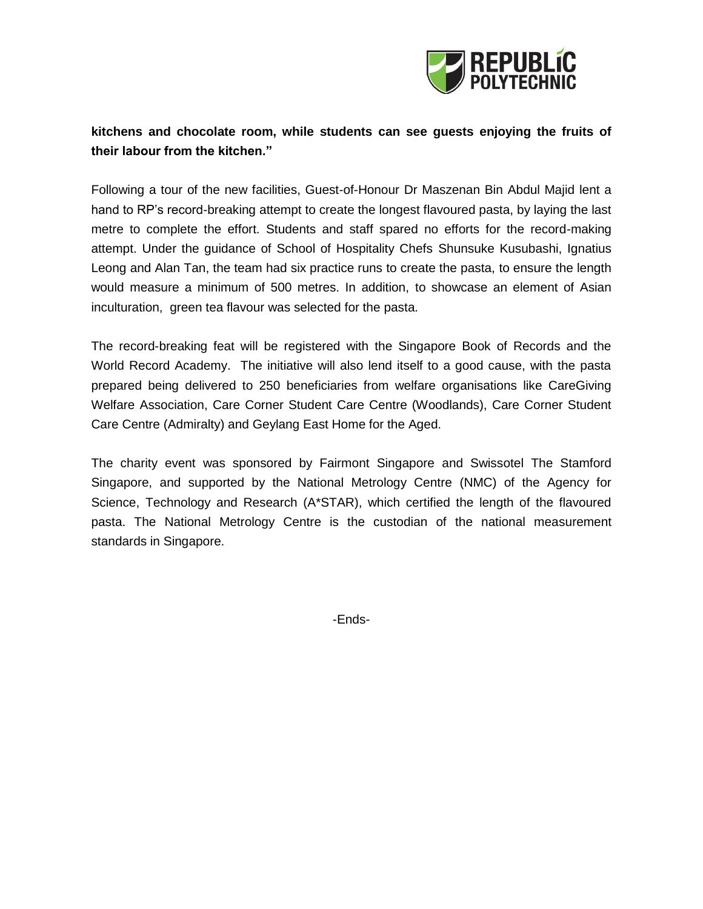

# **kitchens and chocolate room, while students can see guests enjoying the fruits of their labour from the kitchen."**

Following a tour of the new facilities, Guest-of-Honour Dr Maszenan Bin Abdul Majid lent a hand to RP's record-breaking attempt to create the longest flavoured pasta, by laying the last metre to complete the effort. Students and staff spared no efforts for the record-making attempt. Under the guidance of School of Hospitality Chefs Shunsuke Kusubashi, Ignatius Leong and Alan Tan, the team had six practice runs to create the pasta, to ensure the length would measure a minimum of 500 metres. In addition, to showcase an element of Asian inculturation, green tea flavour was selected for the pasta.

The record-breaking feat will be registered with the Singapore Book of Records and the World Record Academy. The initiative will also lend itself to a good cause, with the pasta prepared being delivered to 250 beneficiaries from welfare organisations like CareGiving Welfare Association, Care Corner Student Care Centre (Woodlands), Care Corner Student Care Centre (Admiralty) and Geylang East Home for the Aged.

The charity event was sponsored by Fairmont Singapore and Swissotel The Stamford Singapore, and supported by the National Metrology Centre (NMC) of the Agency for Science, Technology and Research (A\*STAR), which certified the length of the flavoured pasta. The National Metrology Centre is the custodian of the national measurement standards in Singapore.

-Ends-